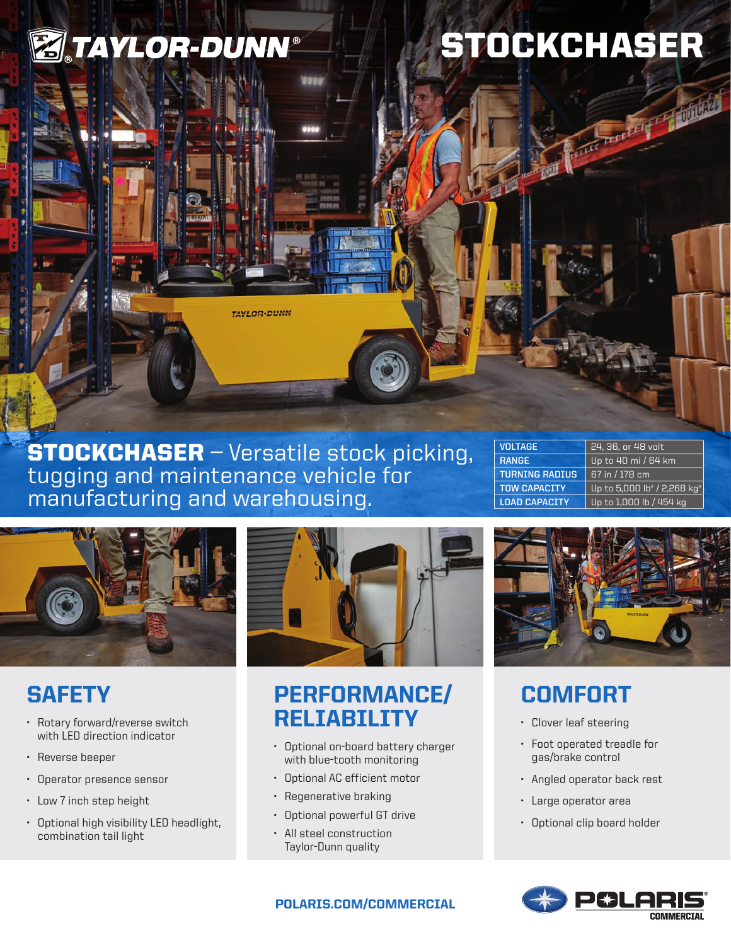

# STOCKCHASER

Accepted to the Mary

**TAYLOR-DUNN** 

**STOCKCHASER** — Versatile stock picking, tugging and maintenance vehicle for manufacturing and warehousing.

| <b>VOLTAGE</b>        | 24, 36, or 48 volt          |
|-----------------------|-----------------------------|
| <b>RANGE</b>          | Up to 40 mi / 64 km         |
| <b>TURNING RADIUS</b> | 67 in / 178 cm              |
| <b>TOW CAPACTTY</b>   | Up to 5,000 lb* / 2,268 kg* |
| <b>LOAD CAPACITY</b>  | Up to 1,000 lb / 454 kg     |



## **SAFETY**

- Rotary forward/reverse switch with LED direction indicator
- Reverse beeper
- Operator presence sensor
- Low 7 inch step height
- Optional high visibility LED headlight, combination tail light



## PERFORMANCE/ RELIABILITY

- Optional on-board battery charger with blue-tooth monitoring
- Optional AC efficient motor
- Regenerative braking
- Optional powerful GT drive
- All steel construction Taylor-Dunn quality



# **COMFORT**

- Clover leaf steering
- Foot operated treadle for gas/brake control
- Angled operator back rest
- Large operator area
- Optional clip board holder